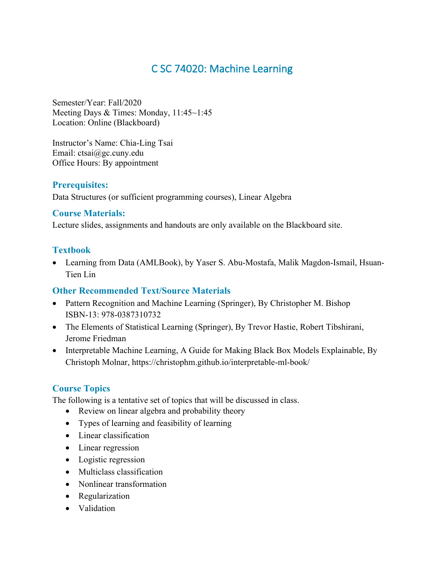# C SC 74020: Machine Learning

Semester/Year: Fall/2020 Meeting Days & Times: Monday, 11:45~1:45 Location: Online (Blackboard)

Instructor's Name: Chia-Ling Tsai Email: ctsai@gc.cuny.edu Office Hours: By appointment

## **Prerequisites:**

Data Structures (or sufficient programming courses), Linear Algebra

#### **Course Materials:**

Lecture slides, assignments and handouts are only available on the Blackboard site.

## **Textbook**

• Learning from Data (AMLBook), by Yaser S. Abu-Mostafa, Malik Magdon-Ismail, Hsuan-Tien Lin

### **Other Recommended Text/Source Materials**

- Pattern Recognition and Machine Learning (Springer), By Christopher M. Bishop ISBN-13: 978-0387310732
- The Elements of Statistical Learning (Springer), By Trevor Hastie, Robert Tibshirani, Jerome Friedman
- Interpretable Machine Learning, A Guide for Making Black Box Models Explainable, By Christoph Molnar, https://christophm.github.io/interpretable-ml-book/

## **Course Topics**

The following is a tentative set of topics that will be discussed in class.

- Review on linear algebra and probability theory
- Types of learning and feasibility of learning
- Linear classification
- Linear regression
- Logistic regression
- Multiclass classification
- Nonlinear transformation
- Regularization
- Validation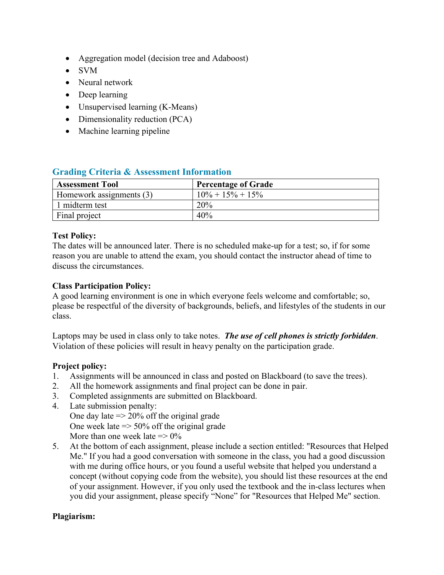- Aggregation model (decision tree and Adaboost)
- SVM
- Neural network
- Deep learning
- Unsupervised learning (K-Means)
- Dimensionality reduction (PCA)
- Machine learning pipeline

| <b>Assessment Tool</b>   | <b>Percentage of Grade</b> |
|--------------------------|----------------------------|
| Homework assignments (3) | $10\% + 15\% + 15\%$       |
| 1 midterm test           | 20%                        |
| Final project            | 40%                        |

## **Grading Criteria & Assessment Information**

#### **Test Policy:**

The dates will be announced later. There is no scheduled make-up for a test; so, if for some reason you are unable to attend the exam, you should contact the instructor ahead of time to discuss the circumstances.

#### **Class Participation Policy:**

A good learning environment is one in which everyone feels welcome and comfortable; so, please be respectful of the diversity of backgrounds, beliefs, and lifestyles of the students in our class.

Laptops may be used in class only to take notes. *The use of cell phones is strictly forbidden*. Violation of these policies will result in heavy penalty on the participation grade.

#### **Project policy:**

- 1. Assignments will be announced in class and posted on Blackboard (to save the trees).
- 2. All the homework assignments and final project can be done in pair.
- 3. Completed assignments are submitted on Blackboard.
- 4. Late submission penalty: One day late  $\approx$  20% off the original grade One week late  $\approx$  50% off the original grade More than one week late  $\approx 0\%$
- 5. At the bottom of each assignment, please include a section entitled: "Resources that Helped Me." If you had a good conversation with someone in the class, you had a good discussion with me during office hours, or you found a useful website that helped you understand a concept (without copying code from the website), you should list these resources at the end of your assignment. However, if you only used the textbook and the in-class lectures when you did your assignment, please specify "None" for "Resources that Helped Me" section.

#### **Plagiarism:**